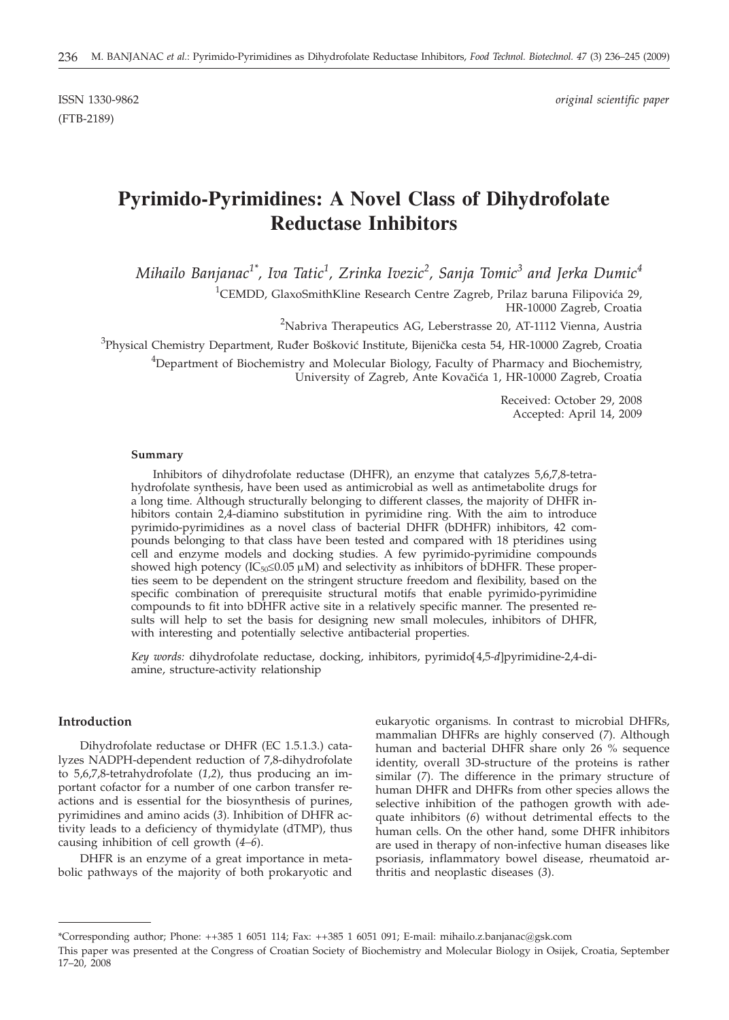(FTB-2189)

# **Pyrimido-Pyrimidines: A Novel Class of Dihydrofolate Reductase Inhibitors**

*Mihailo Banjanac1\*, Iva Tatic1 , Zrinka Ivezic<sup>2</sup> , Sanja Tomic<sup>3</sup> and Jerka Dumic<sup>4</sup>*

 ${}^{1}$ CEMDD, GlaxoSmithKline Research Centre Zagreb, Prilaz baruna Filipovića 29, HR-10000 Zagreb, Croatia

<sup>2</sup>Nabriva Therapeutics AG, Leberstrasse 20, AT-1112 Vienna, Austria

<sup>3</sup>Physical Chemistry Department, Ruđer Bošković Institute, Bijenička cesta 54, HR-10000 Zagreb, Croatia

<sup>4</sup>Department of Biochemistry and Molecular Biology, Faculty of Pharmacy and Biochemistry, University of Zagreb, Ante Kovačića 1, HR-10000 Zagreb, Croatia

> Received: October 29, 2008 Accepted: April 14, 2009

#### **Summary**

Inhibitors of dihydrofolate reductase (DHFR), an enzyme that catalyzes 5,6,7,8-tetrahydrofolate synthesis, have been used as antimicrobial as well as antimetabolite drugs for a long time. Although structurally belonging to different classes, the majority of DHFR inhibitors contain 2,4-diamino substitution in pyrimidine ring. With the aim to introduce pyrimido-pyrimidines as a novel class of bacterial DHFR (bDHFR) inhibitors, 42 compounds belonging to that class have been tested and compared with 18 pteridines using cell and enzyme models and docking studies. A few pyrimido-pyrimidine compounds showed high potency ( $IC_{50} \leq 0.05 \mu M$ ) and selectivity as inhibitors of bDHFR. These properties seem to be dependent on the stringent structure freedom and flexibility, based on the specific combination of prerequisite structural motifs that enable pyrimido-pyrimidine compounds to fit into bDHFR active site in a relatively specific manner. The presented results will help to set the basis for designing new small molecules, inhibitors of DHFR, with interesting and potentially selective antibacterial properties.

*Key words:* dihydrofolate reductase, docking, inhibitors, pyrimido[4,5*-d*]pyrimidine-2,4-diamine, structure-activity relationship

# **Introduction**

Dihydrofolate reductase or DHFR (EC 1.5.1.3.) catalyzes NADPH-dependent reduction of 7,8-dihydrofolate to 5,6,7,8-tetrahydrofolate (*1,2*), thus producing an important cofactor for a number of one carbon transfer reactions and is essential for the biosynthesis of purines, pyrimidines and amino acids (*3*). Inhibition of DHFR activity leads to a deficiency of thymidylate (dTMP), thus causing inhibition of cell growth (*4–6*).

DHFR is an enzyme of a great importance in metabolic pathways of the majority of both prokaryotic and eukaryotic organisms. In contrast to microbial DHFRs, mammalian DHFRs are highly conserved (*7*). Although human and bacterial DHFR share only 26 % sequence identity, overall 3D-structure of the proteins is rather similar (*7*). The difference in the primary structure of human DHFR and DHFRs from other species allows the selective inhibition of the pathogen growth with adequate inhibitors (*6*) without detrimental effects to the human cells. On the other hand, some DHFR inhibitors are used in therapy of non-infective human diseases like psoriasis, inflammatory bowel disease, rheumatoid arthritis and neoplastic diseases (*3*).

<sup>\*</sup>Corresponding author; Phone: ++385 1 6051 114; Fax: ++385 1 6051 091; E-mail: mihailo.z.banjanac@gsk.com

This paper was presented at the Congress of Croatian Society of Biochemistry and Molecular Biology in Osijek, Croatia, September 17–20, 2008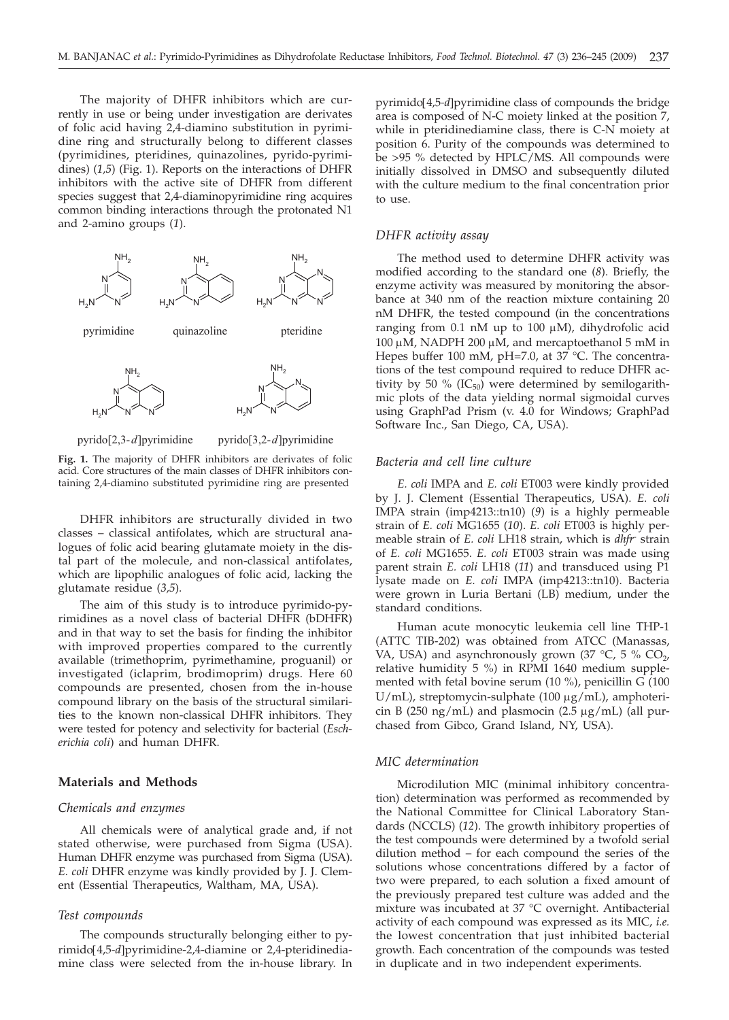The majority of DHFR inhibitors which are currently in use or being under investigation are derivates of folic acid having 2,4-diamino substitution in pyrimidine ring and structurally belong to different classes (pyrimidines, pteridines, quinazolines, pyrido-pyrimidines) (*1,5*) (Fig. 1). Reports on the interactions of DHFR inhibitors with the active site of DHFR from different species suggest that 2,4-diaminopyrimidine ring acquires common binding interactions through the protonated N1 and 2-amino groups (*1*).



**Fig. 1.** The majority of DHFR inhibitors are derivates of folic acid. Core structures of the main classes of DHFR inhibitors containing 2,4-diamino substituted pyrimidine ring are presented

DHFR inhibitors are structurally divided in two classes – classical antifolates, which are structural analogues of folic acid bearing glutamate moiety in the distal part of the molecule, and non-classical antifolates, which are lipophilic analogues of folic acid, lacking the glutamate residue (*3,5*).

The aim of this study is to introduce pyrimido-pyrimidines as a novel class of bacterial DHFR (bDHFR) and in that way to set the basis for finding the inhibitor with improved properties compared to the currently available (trimethoprim, pyrimethamine, proguanil) or investigated (iclaprim, brodimoprim) drugs. Here 60 compounds are presented, chosen from the in-house compound library on the basis of the structural similarities to the known non-classical DHFR inhibitors. They were tested for potency and selectivity for bacterial (*Escherichia coli*) and human DHFR.

## **Materials and Methods**

#### *Chemicals and enzymes*

All chemicals were of analytical grade and, if not stated otherwise, were purchased from Sigma (USA). Human DHFR enzyme was purchased from Sigma (USA). *E. coli* DHFR enzyme was kindly provided by J. J. Clement (Essential Therapeutics, Waltham, MA, USA).

### *Test compounds*

The compounds structurally belonging either to pyrimido[4,5*-d*]pyrimidine-2,4-diamine or 2,4-pteridinediamine class were selected from the in-house library. In pyrimido[4,5*-d*]pyrimidine class of compounds the bridge area is composed of N-C moiety linked at the position 7, while in pteridinediamine class, there is C-N moiety at position 6. Purity of the compounds was determined to be >95 % detected by HPLC/MS. All compounds were initially dissolved in DMSO and subsequently diluted with the culture medium to the final concentration prior to use.

# *DHFR activity assay*

The method used to determine DHFR activity was modified according to the standard one (*8*). Briefly, the enzyme activity was measured by monitoring the absorbance at 340 nm of the reaction mixture containing 20 nM DHFR, the tested compound (in the concentrations ranging from  $0.1$  nM up to  $100 \mu$ M), dihydrofolic acid 100 μM, NADPH 200 μM, and mercaptoethanol  $5 \text{ mM}$  in Hepes buffer 100 mM, pH=7.0, at 37 °C. The concentrations of the test compound required to reduce DHFR activity by 50 % ( $IC_{50}$ ) were determined by semilogarithmic plots of the data yielding normal sigmoidal curves using GraphPad Prism (v. 4.0 for Windows; GraphPad Software Inc., San Diego, CA, USA).

## *Bacteria and cell line culture*

*E. coli* IMPA and *E. coli* ET003 were kindly provided by J. J. Clement (Essential Therapeutics, USA). *E. coli* IMPA strain (imp4213::tn10) (*9*) is a highly permeable strain of *E. coli* MG1655 (*10*). *E. coli* ET003 is highly permeable strain of *E. coli* LH18 strain, which is *dhfr*- strain of *E. coli* MG1655. *E. coli* ET003 strain was made using parent strain *E. coli* LH18 (*11*) and transduced using P1 lysate made on *E. coli* IMPA (imp4213::tn10). Bacteria were grown in Luria Bertani (LB) medium, under the standard conditions.

Human acute monocytic leukemia cell line THP-1 (ATTC TIB-202) was obtained from ATCC (Manassas, VA, USA) and asynchronously grown (37  $\degree$ C, 5  $\degree$  CO<sub>2</sub>, relative humidity 5 %) in RPMI 1640 medium supplemented with fetal bovine serum (10 %), penicillin G (100  $U/mL$ ), streptomycin-sulphate (100 µg/mL), amphotericin B (250 ng/mL) and plasmocin (2.5  $\mu$ g/mL) (all purchased from Gibco, Grand Island, NY, USA).

## *MIC determination*

Microdilution MIC (minimal inhibitory concentration) determination was performed as recommended by the National Committee for Clinical Laboratory Standards (NCCLS) (*12*). The growth inhibitory properties of the test compounds were determined by a twofold serial dilution method – for each compound the series of the solutions whose concentrations differed by a factor of two were prepared, to each solution a fixed amount of the previously prepared test culture was added and the mixture was incubated at 37 °C overnight. Antibacterial activity of each compound was expressed as its MIC, *i.e.* the lowest concentration that just inhibited bacterial growth. Each concentration of the compounds was tested in duplicate and in two independent experiments.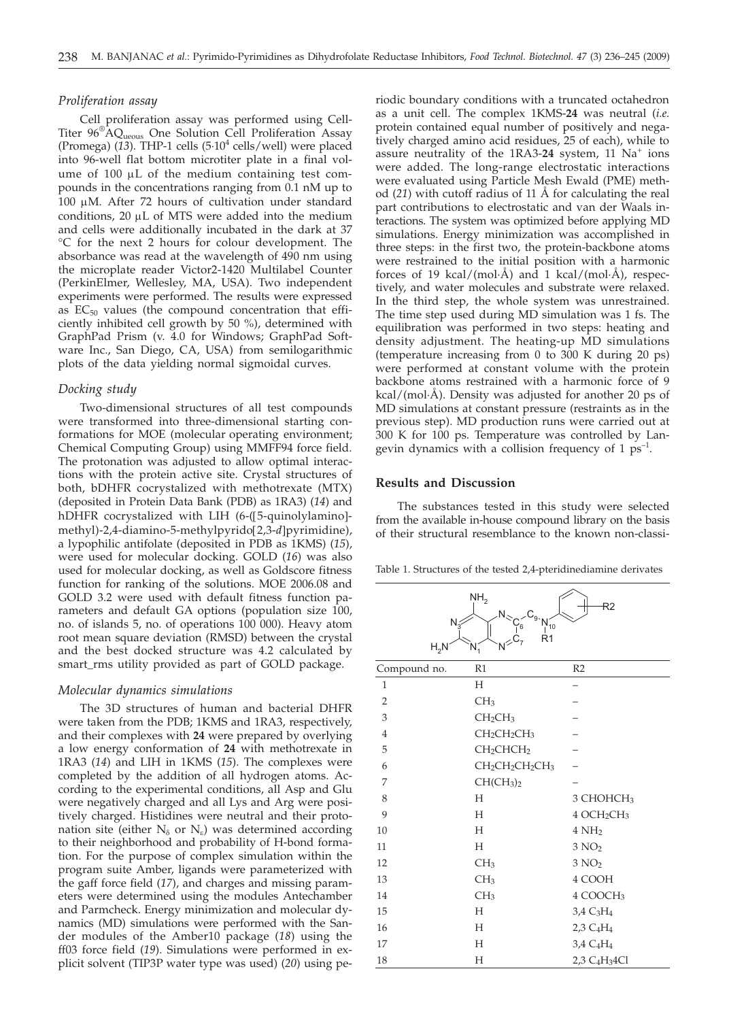### *Proliferation assay*

Cell proliferation assay was performed using Cell-Titer  $96^{\circ}$ AQ<sub>ueous</sub> One Solution Cell Proliferation Assay (Promega) (*13*). THP-1 cells (5·104 cells/well) were placed into 96-well flat bottom microtiter plate in a final volume of  $100 \mu L$  of the medium containing test compounds in the concentrations ranging from 0.1 nM up to 100  $\mu$ M. After 72 hours of cultivation under standard conditions,  $20 \mu L$  of MTS were added into the medium and cells were additionally incubated in the dark at 37 °C for the next 2 hours for colour development. The absorbance was read at the wavelength of 490 nm using the microplate reader Victor2-1420 Multilabel Counter (PerkinElmer, Wellesley, MA, USA). Two independent experiments were performed. The results were expressed as  $EC_{50}$  values (the compound concentration that efficiently inhibited cell growth by 50 %), determined with GraphPad Prism (v. 4.0 for Windows; GraphPad Software Inc., San Diego, CA, USA) from semilogarithmic plots of the data yielding normal sigmoidal curves.

## *Docking study*

Two-dimensional structures of all test compounds were transformed into three-dimensional starting conformations for MOE (molecular operating environment; Chemical Computing Group) using MMFF94 force field. The protonation was adjusted to allow optimal interactions with the protein active site. Crystal structures of both, bDHFR cocrystalized with methotrexate (MTX) (deposited in Protein Data Bank (PDB) as 1RA3) (*14*) and hDHFR cocrystalized with LIH (6-([5-quinolylamino] methyl)-2,4-diamino-5-methylpyrido[2,3-*d*]pyrimidine), a lypophilic antifolate (deposited in PDB as 1KMS) (*15*), were used for molecular docking. GOLD (*16*) was also used for molecular docking, as well as Goldscore fitness function for ranking of the solutions. MOE 2006.08 and GOLD 3.2 were used with default fitness function parameters and default GA options (population size 100, no. of islands 5, no. of operations 100 000). Heavy atom root mean square deviation (RMSD) between the crystal and the best docked structure was 4.2 calculated by smart\_rms utility provided as part of GOLD package.

#### *Molecular dynamics simulations*

The 3D structures of human and bacterial DHFR were taken from the PDB; 1KMS and 1RA3, respectively, and their complexes with **24** were prepared by overlying a low energy conformation of **24** with methotrexate in 1RA3 (*14*) and LIH in 1KMS (*15*). The complexes were completed by the addition of all hydrogen atoms. According to the experimental conditions, all Asp and Glu were negatively charged and all Lys and Arg were positively charged. Histidines were neutral and their protonation site (either  $N_{\delta}$  or  $N_{\epsilon}$ ) was determined according to their neighborhood and probability of H-bond formation. For the purpose of complex simulation within the program suite Amber, ligands were parameterized with the gaff force field (*17*), and charges and missing parameters were determined using the modules Antechamber and Parmcheck. Energy minimization and molecular dynamics (MD) simulations were performed with the Sander modules of the Amber10 package (*18*) using the ff03 force field (*19*). Simulations were performed in explicit solvent (TIP3P water type was used) (*20*) using pe-

riodic boundary conditions with a truncated octahedron as a unit cell. The complex 1KMS-**24** was neutral (*i.e.* protein contained equal number of positively and negatively charged amino acid residues, 25 of each), while to assure neutrality of the  $1RA3-24$  system,  $11$  Na<sup>+</sup> ions were added. The long-range electrostatic interactions were evaluated using Particle Mesh Ewald (PME) method (*21*) with cutoff radius of 11 Å for calculating the real part contributions to electrostatic and van der Waals interactions. The system was optimized before applying MD simulations. Energy minimization was accomplished in three steps: in the first two, the protein-backbone atoms were restrained to the initial position with a harmonic forces of 19 kcal/(mol·Å) and 1 kcal/(mol·Å), respectively, and water molecules and substrate were relaxed. In the third step, the whole system was unrestrained. The time step used during MD simulation was 1 fs. The equilibration was performed in two steps: heating and density adjustment. The heating-up MD simulations (temperature increasing from 0 to 300 K during 20 ps) were performed at constant volume with the protein backbone atoms restrained with a harmonic force of 9 kcal/(mol·Å). Density was adjusted for another 20 ps of MD simulations at constant pressure (restraints as in the previous step). MD production runs were carried out at 300 K for 100 ps. Temperature was controlled by Langevin dynamics with a collision frequency of 1  $ps^{-1}$ .

# **Results and Discussion**

The substances tested in this study were selected from the available in-house compound library on the basis of their structural resemblance to the known non-classi-

Table 1. Structures of the tested 2,4-pteridinediamine derivates

R2

 $NH<sub>2</sub>$ 

| N,<br>$H_2N$   | $\mathsf{N}_\gtrsim$<br>$C_{9}$ $N_{10}$<br>΄6<br>R <sub>1</sub><br>$N^{>C_7}$<br>$N_1$ |                                       |
|----------------|-----------------------------------------------------------------------------------------|---------------------------------------|
| Compound no.   | R1                                                                                      | R2                                    |
| $\mathbf{1}$   | Н                                                                                       |                                       |
| $\overline{2}$ | CH <sub>3</sub>                                                                         |                                       |
| 3              | CH <sub>2</sub> CH <sub>3</sub>                                                         |                                       |
| $\overline{4}$ | CH <sub>2</sub> CH <sub>2</sub> CH <sub>3</sub>                                         |                                       |
| 5              | CH <sub>2</sub> CHCH <sub>2</sub>                                                       |                                       |
| 6              | CH <sub>2</sub> CH <sub>2</sub> CH <sub>2</sub> CH <sub>3</sub>                         |                                       |
| 7              | CH(CH <sub>3</sub> ) <sub>2</sub>                                                       |                                       |
| 8              | H                                                                                       | 3 CHOHCH <sub>3</sub>                 |
| 9              | H                                                                                       | 4 OCH <sub>2</sub> CH <sub>3</sub>    |
| 10             | H                                                                                       | 4NH <sub>2</sub>                      |
| 11             | H                                                                                       | 3 NO <sub>2</sub>                     |
| 12             | CH <sub>3</sub>                                                                         | 3 NO <sub>2</sub>                     |
| 13             | CH <sub>3</sub>                                                                         | 4 COOH                                |
| 14             | CH <sub>3</sub>                                                                         | 4 COOCH <sub>3</sub>                  |
| 15             | H                                                                                       | 3,4 C <sub>3</sub> H <sub>4</sub>     |
| 16             | H                                                                                       | 2,3 C <sub>4</sub> H <sub>4</sub>     |
| 17             | H                                                                                       | 3,4 C <sub>4</sub> H <sub>4</sub>     |
| 18             | Н                                                                                       | 2,3 C <sub>4</sub> H <sub>3</sub> 4Cl |
|                |                                                                                         |                                       |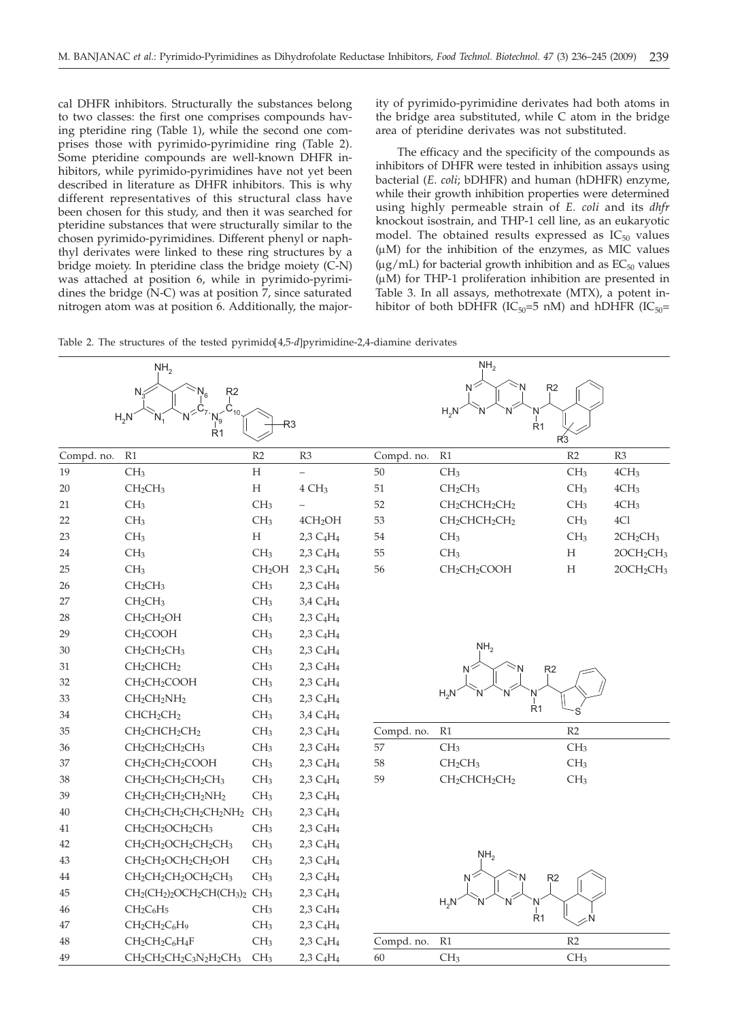cal DHFR inhibitors. Structurally the substances belong to two classes: the first one comprises compounds having pteridine ring (Table 1), while the second one comprises those with pyrimido-pyrimidine ring (Table 2). Some pteridine compounds are well-known DHFR inhibitors, while pyrimido-pyrimidines have not yet been described in literature as DHFR inhibitors. This is why different representatives of this structural class have been chosen for this study, and then it was searched for pteridine substances that were structurally similar to the chosen pyrimido-pyrimidines. Different phenyl or naphthyl derivates were linked to these ring structures by a bridge moiety. In pteridine class the bridge moiety (C-N) was attached at position 6, while in pyrimido-pyrimidines the bridge (N-C) was at position 7, since saturated nitrogen atom was at position 6. Additionally, the majority of pyrimido-pyrimidine derivates had both atoms in the bridge area substituted, while C atom in the bridge area of pteridine derivates was not substituted.

The efficacy and the specificity of the compounds as inhibitors of DHFR were tested in inhibition assays using bacterial (*E. coli*; bDHFR) and human (hDHFR) enzyme, while their growth inhibition properties were determined using highly permeable strain of *E. coli* and its *dhfr* knockout isostrain, and THP-1 cell line, as an eukaryotic model. The obtained results expressed as  $IC_{50}$  values  $(\mu M)$  for the inhibition of the enzymes, as MIC values  $(\mu$ g/mL) for bacterial growth inhibition and as  $EC_{50}$  values  $(\mu M)$  for THP-1 proliferation inhibition are presented in Table 3. In all assays, methotrexate (MTX), a potent inhibitor of both bDHFR (IC<sub>50</sub>=5 nM) and hDHFR (IC<sub>50</sub>=



|            | NH <sub>2</sub>                                                                                                    |                    |                                   |            | NH <sub>2</sub>                                   |                 |                                   |
|------------|--------------------------------------------------------------------------------------------------------------------|--------------------|-----------------------------------|------------|---------------------------------------------------|-----------------|-----------------------------------|
|            | R <sub>2</sub><br>$N_{\tilde{z}}$                                                                                  |                    |                                   |            | R <sub>2</sub><br>N                               |                 |                                   |
|            | $\dot{\mathsf{C}}_{_{10}}$<br>$H_2N$                                                                               |                    |                                   |            | $H_2N$<br>N                                       |                 |                                   |
|            | R <sub>1</sub>                                                                                                     | R3                 |                                   |            | Ŕ1                                                | R <sub>3</sub>  |                                   |
| Compd. no. | R1                                                                                                                 | R <sub>2</sub>     | R3                                | Compd. no. | R1                                                | R2              | R <sub>3</sub>                    |
| 19         | CH <sub>3</sub>                                                                                                    | H                  | $\equiv$                          | 50         | CH <sub>3</sub>                                   | CH <sub>3</sub> | 4CH <sub>3</sub>                  |
| 20         | CH <sub>2</sub> CH <sub>3</sub>                                                                                    | $\mathbf H$        | 4 CH <sub>3</sub>                 | 51         | CH <sub>2</sub> CH <sub>3</sub>                   | CH <sub>3</sub> | 4CH <sub>3</sub>                  |
| 21         | CH <sub>3</sub>                                                                                                    | CH <sub>3</sub>    |                                   | 52         | CH <sub>2</sub> CHCH <sub>2</sub> CH <sub>2</sub> | CH <sub>3</sub> | 4CH <sub>3</sub>                  |
| 22         | CH <sub>3</sub>                                                                                                    | CH <sub>3</sub>    | 4CH <sub>2</sub> OH               | 53         | CH <sub>2</sub> CHCH <sub>2</sub> CH <sub>2</sub> | CH <sub>3</sub> | 4Cl                               |
| 23         | CH <sub>3</sub>                                                                                                    | H                  | $2,3 \text{ C}_4\text{H}_4$       | 54         | CH <sub>3</sub>                                   | CH <sub>3</sub> | $2CH_2CH_3$                       |
| 24         | CH <sub>3</sub>                                                                                                    | CH <sub>3</sub>    | 2,3 C <sub>4</sub> H <sub>4</sub> | 55         | CH <sub>3</sub>                                   | H               | 2OCH <sub>2</sub> CH <sub>3</sub> |
| 25         | CH <sub>3</sub>                                                                                                    | CH <sub>2</sub> OH | 2,3 C <sub>4</sub> H <sub>4</sub> | 56         | CH <sub>2</sub> CH <sub>2</sub> COOH              | H               | 2OCH <sub>2</sub> CH <sub>3</sub> |
| 26         | CH <sub>2</sub> CH <sub>3</sub>                                                                                    | CH <sub>3</sub>    | 2,3 C <sub>4</sub> H <sub>4</sub> |            |                                                   |                 |                                   |
| 27         | CH <sub>2</sub> CH <sub>3</sub>                                                                                    | CH <sub>3</sub>    | 3,4 C <sub>4</sub> H <sub>4</sub> |            |                                                   |                 |                                   |
| 28         | CH <sub>2</sub> CH <sub>2</sub> OH                                                                                 | CH <sub>3</sub>    | 2,3 C <sub>4</sub> H <sub>4</sub> |            |                                                   |                 |                                   |
| 29         | CH <sub>2</sub> COOH                                                                                               | CH <sub>3</sub>    | 2,3 C <sub>4</sub> H <sub>4</sub> |            |                                                   |                 |                                   |
| 30         | $CH_2CH_2CH_3$                                                                                                     | CH <sub>3</sub>    | 2,3 C <sub>4</sub> H <sub>4</sub> |            | NH <sub>2</sub>                                   |                 |                                   |
| 31         | CH <sub>2</sub> CHCH <sub>2</sub>                                                                                  | CH <sub>3</sub>    | 2,3 C <sub>4</sub> H <sub>4</sub> |            | R <sub>2</sub><br>N                               |                 |                                   |
| 32         | CH <sub>2</sub> CH <sub>2</sub> COOH                                                                               | CH <sub>3</sub>    | $2,3 \text{ C}_4\text{H}_4$       |            |                                                   |                 |                                   |
| 33         | $CH2CH2NH2$                                                                                                        | CH <sub>3</sub>    | $2,3 \text{ C}_4\text{H}_4$       |            | $H_2N$                                            |                 |                                   |
| 34         | CHCH <sub>2</sub> CH <sub>2</sub>                                                                                  | CH <sub>3</sub>    | 3,4 C <sub>4</sub> H <sub>4</sub> |            | R <sub>1</sub>                                    |                 |                                   |
| 35         | $CH2CHCH2CH2$                                                                                                      | CH <sub>3</sub>    | 2,3 C <sub>4</sub> H <sub>4</sub> | Compd. no. | R1                                                | R2              |                                   |
| 36         | CH <sub>2</sub> CH <sub>2</sub> CH <sub>2</sub> CH <sub>3</sub>                                                    | CH <sub>3</sub>    | 2,3 C <sub>4</sub> H <sub>4</sub> | 57         | CH <sub>3</sub>                                   | CH <sub>3</sub> |                                   |
| 37         | CH <sub>2</sub> CH <sub>2</sub> CH <sub>2</sub> COOH                                                               | CH <sub>3</sub>    | $2,3 \text{ C}_4\text{H}_4$       | 58         | CH <sub>2</sub> CH <sub>3</sub>                   | CH <sub>3</sub> |                                   |
| 38         | CH <sub>2</sub> CH <sub>2</sub> CH <sub>2</sub> CH <sub>2</sub> CH <sub>3</sub>                                    | CH <sub>3</sub>    | $2,3 \text{ C}_4\text{H}_4$       | 59         | CH <sub>2</sub> CHCH <sub>2</sub> CH <sub>2</sub> | CH <sub>3</sub> |                                   |
| 39         | CH <sub>2</sub> CH <sub>2</sub> CH <sub>2</sub> CH <sub>2</sub> NH <sub>2</sub>                                    | CH <sub>3</sub>    | 2,3 C <sub>4</sub> H <sub>4</sub> |            |                                                   |                 |                                   |
| 40         | $CH_2CH_2CH_2CH_2CH_2NH_2$                                                                                         | CH <sub>3</sub>    | 2,3 C <sub>4</sub> H <sub>4</sub> |            |                                                   |                 |                                   |
| 41         | CH <sub>2</sub> CH <sub>2</sub> OCH <sub>2</sub> CH <sub>3</sub>                                                   | CH <sub>3</sub>    | 2,3 C <sub>4</sub> H <sub>4</sub> |            |                                                   |                 |                                   |
| 42         | CH <sub>2</sub> CH <sub>2</sub> OCH <sub>2</sub> CH <sub>2</sub> CH <sub>3</sub>                                   | CH <sub>3</sub>    | 2,3 C <sub>4</sub> H <sub>4</sub> |            |                                                   |                 |                                   |
| 43         | CH <sub>2</sub> CH <sub>2</sub> OCH <sub>2</sub> CH <sub>2</sub> OH                                                | CH <sub>3</sub>    | 2,3 C <sub>4</sub> H <sub>4</sub> |            | NH <sub>2</sub>                                   |                 |                                   |
| 44         | CH <sub>2</sub> CH <sub>2</sub> CH <sub>2</sub> OCH <sub>2</sub> CH <sub>3</sub>                                   | CH <sub>3</sub>    | 2,3 C <sub>4</sub> H <sub>4</sub> |            | R <sub>2</sub>                                    |                 |                                   |
| 45         | CH <sub>2</sub> (CH <sub>2</sub> ) <sub>2</sub> OCH <sub>2</sub> CH(CH <sub>3</sub> ) <sub>2</sub> CH <sub>3</sub> |                    | 2,3 C <sub>4</sub> H <sub>4</sub> |            |                                                   |                 |                                   |
| 46         | $CH2C6H5$                                                                                                          | CH <sub>3</sub>    | 2,3 $C_4H_4$                      |            | $H_2N$<br>N                                       |                 |                                   |
| 47         | CH <sub>2</sub> CH <sub>2</sub> C <sub>6</sub> H <sub>9</sub>                                                      | CH <sub>3</sub>    | $2,3 \text{ C}_4\text{H}_4$       |            | R <sub>1</sub>                                    |                 |                                   |
| 48         | $CH_2CH_2C_6H_4F$                                                                                                  | CH <sub>3</sub>    | $2,3 \text{ C}_4\text{H}_4$       | Compd. no. | R1                                                | R2              |                                   |
| 49         | CH <sub>2</sub> CH <sub>2</sub> CH <sub>2</sub> C <sub>3</sub> N <sub>2</sub> H <sub>2</sub> CH <sub>3</sub>       | CH <sub>3</sub>    | 2,3 C <sub>4</sub> H <sub>4</sub> | 60         | CH <sub>3</sub>                                   | CH <sub>3</sub> |                                   |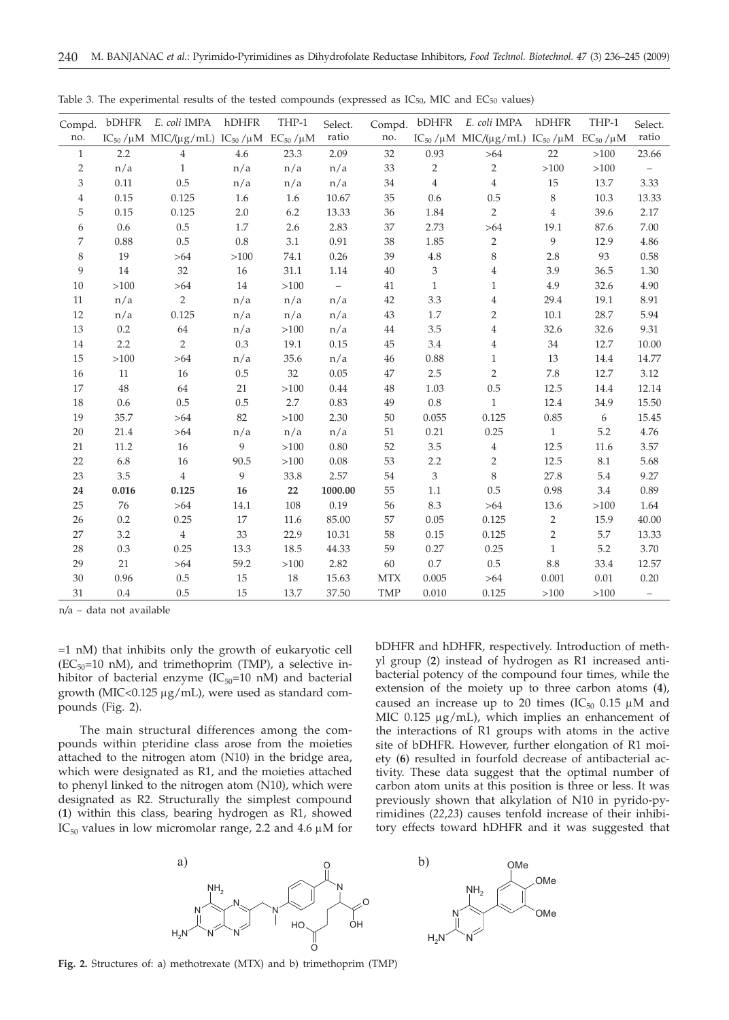| Compd.         | bDHFR | E. coli IMPA                                                               | hDHFR   | THP-1  | Select.                  | Compd.     | bDHFR          | E. coli IMPA                                                                                       | hDHFR          | THP-1  | Select.  |
|----------------|-------|----------------------------------------------------------------------------|---------|--------|--------------------------|------------|----------------|----------------------------------------------------------------------------------------------------|----------------|--------|----------|
| no.            |       | IC <sub>50</sub> /μM MIC/(μg/mL) IC <sub>50</sub> /μM EC <sub>50</sub> /μM |         |        | ratio                    | no.        |                | IC <sub>50</sub> / $\mu$ M MIC/( $\mu$ g/mL) IC <sub>50</sub> / $\mu$ M EC <sub>50</sub> / $\mu$ M |                |        | ratio    |
| $\mathbf{1}$   | 2.2   | $\overline{4}$                                                             | 4.6     | 23.3   | 2.09                     | 32         | 0.93           | >64                                                                                                | 22             | $>100$ | 23.66    |
| $\overline{2}$ | n/a   | $\mathbf{1}$                                                               | n/a     | n/a    | n/a                      | 33         | $\overline{2}$ | $\overline{2}$                                                                                     | >100           | >100   |          |
| 3              | 0.11  | 0.5                                                                        | n/a     | n/a    | n/a                      | 34         | $\overline{4}$ | $\sqrt{4}$                                                                                         | 15             | 13.7   | 3.33     |
| 4              | 0.15  | 0.125                                                                      | 1.6     | 1.6    | 10.67                    | 35         | 0.6            | 0.5                                                                                                | 8              | 10.3   | 13.33    |
| 5              | 0.15  | 0.125                                                                      | 2.0     | 6.2    | 13.33                    | 36         | 1.84           | $\sqrt{2}$                                                                                         | $\overline{4}$ | 39.6   | 2.17     |
| 6              | 0.6   | 0.5                                                                        | $1.7\,$ | 2.6    | 2.83                     | 37         | 2.73           | >64                                                                                                | 19.1           | 87.6   | $7.00\,$ |
| 7              | 0.88  | 0.5                                                                        | $0.8\,$ | 3.1    | 0.91                     | 38         | 1.85           | $\sqrt{2}$                                                                                         | 9              | 12.9   | 4.86     |
| 8              | 19    | >64                                                                        | >100    | 74.1   | 0.26                     | 39         | 4.8            | 8                                                                                                  | 2.8            | 93     | 0.58     |
| 9              | 14    | 32                                                                         | 16      | 31.1   | 1.14                     | 40         | 3              | $\overline{4}$                                                                                     | 3.9            | 36.5   | 1.30     |
| 10             | >100  | > 64                                                                       | $14\,$  | >100   | $\overline{\phantom{0}}$ | 41         | $\mathbf{1}$   | $\mathbf{1}$                                                                                       | 4.9            | 32.6   | 4.90     |
| 11             | n/a   | $\overline{2}$                                                             | n/a     | n/a    | n/a                      | 42         | 3.3            | $\overline{4}$                                                                                     | 29.4           | 19.1   | 8.91     |
| 12             | n/a   | 0.125                                                                      | n/a     | n/a    | n/a                      | 43         | 1.7            | $\overline{2}$                                                                                     | 10.1           | 28.7   | 5.94     |
| 13             | 0.2   | 64                                                                         | n/a     | >100   | n/a                      | 44         | 3.5            | $\overline{4}$                                                                                     | 32.6           | 32.6   | 9.31     |
| 14             | 2.2   | $\overline{2}$                                                             | $0.3\,$ | 19.1   | 0.15                     | 45         | 3.4            | $\overline{4}$                                                                                     | 34             | 12.7   | 10.00    |
| 15             | >100  | >64                                                                        | n/a     | 35.6   | n/a                      | 46         | 0.88           | $\mathbf{1}$                                                                                       | 13             | 14.4   | 14.77    |
| 16             | 11    | $16\,$                                                                     | 0.5     | 32     | 0.05                     | 47         | 2.5            | $\overline{2}$                                                                                     | 7.8            | 12.7   | 3.12     |
| 17             | 48    | 64                                                                         | 21      | $>100$ | 0.44                     | 48         | 1.03           | 0.5                                                                                                | 12.5           | 14.4   | 12.14    |
| 18             | 0.6   | 0.5                                                                        | 0.5     | 2.7    | 0.83                     | 49         | 0.8            | $\mathbf{1}$                                                                                       | 12.4           | 34.9   | 15.50    |
| 19             | 35.7  | >64                                                                        | 82      | $>100$ | 2.30                     | 50         | 0.055          | 0.125                                                                                              | 0.85           | 6      | 15.45    |
| 20             | 21.4  | > 64                                                                       | n/a     | n/a    | n/a                      | 51         | 0.21           | 0.25                                                                                               | $\mathbf{1}$   | 5.2    | 4.76     |
| 21             | 11.2  | 16                                                                         | 9       | $>100$ | 0.80                     | 52         | 3.5            | $\overline{4}$                                                                                     | 12.5           | 11.6   | 3.57     |
| 22             | 6.8   | 16                                                                         | 90.5    | >100   | 0.08                     | 53         | 2.2            | $\overline{2}$                                                                                     | 12.5           | 8.1    | 5.68     |
| 23             | 3.5   | $\overline{4}$                                                             | 9       | 33.8   | 2.57                     | 54         | 3              | 8                                                                                                  | 27.8           | 5.4    | 9.27     |
| 24             | 0.016 | 0.125                                                                      | 16      | 22     | 1000.00                  | 55         | 1.1            | 0.5                                                                                                | 0.98           | 3.4    | 0.89     |
| 25             | 76    | >64                                                                        | 14.1    | 108    | 0.19                     | 56         | 8.3            | >64                                                                                                | 13.6           | >100   | 1.64     |
| 26             | 0.2   | 0.25                                                                       | 17      | 11.6   | 85.00                    | 57         | 0.05           | 0.125                                                                                              | $\overline{2}$ | 15.9   | 40.00    |
| 27             | 3.2   | $\sqrt{4}$                                                                 | 33      | 22.9   | 10.31                    | 58         | 0.15           | 0.125                                                                                              | $\overline{2}$ | 5.7    | 13.33    |
| 28             | 0.3   | 0.25                                                                       | 13.3    | 18.5   | 44.33                    | 59         | 0.27           | 0.25                                                                                               | $\mathbf{1}$   | 5.2    | 3.70     |
| 29             | 21    | >64                                                                        | 59.2    | >100   | 2.82                     | 60         | 0.7            | 0.5                                                                                                | 8.8            | 33.4   | 12.57    |
| 30             | 0.96  | 0.5                                                                        | 15      | $18\,$ | 15.63                    | <b>MTX</b> | 0.005          | >64                                                                                                | 0.001          | 0.01   | 0.20     |
| 31             | 0.4   | $0.5\,$                                                                    | 15      | 13.7   | 37.50                    | <b>TMP</b> | 0.010          | 0.125                                                                                              | >100           | >100   | $\equiv$ |

Table 3. The experimental results of the tested compounds (expressed as  $IC_{50}$ , MIC and  $EC_{50}$  values)

n*/*a – data not available

=1 nM) that inhibits only the growth of eukaryotic cell  $(EC_{50}=10 \text{ nM})$ , and trimethoprim (TMP), a selective inhibitor of bacterial enzyme  $(IC_{50}=10 \text{ nM})$  and bacterial growth (MIC<0.125  $\mu$ g/mL), were used as standard compounds (Fig. 2).

The main structural differences among the compounds within pteridine class arose from the moieties attached to the nitrogen atom (N10) in the bridge area, which were designated as R1, and the moieties attached to phenyl linked to the nitrogen atom (N10), which were designated as R2. Structurally the simplest compound (**1**) within this class, bearing hydrogen as R1, showed IC<sub>50</sub> values in low micromolar range, 2.2 and 4.6  $\mu$ M for bDHFR and hDHFR, respectively. Introduction of methyl group (**2**) instead of hydrogen as R1 increased antibacterial potency of the compound four times, while the extension of the moiety up to three carbon atoms (**4**), caused an increase up to 20 times (IC $_{50}$  0.15  $\mu$ M and MIC  $0.125 \mu g/mL$ , which implies an enhancement of the interactions of R1 groups with atoms in the active site of bDHFR. However, further elongation of R1 moiety (**6**) resulted in fourfold decrease of antibacterial activity. These data suggest that the optimal number of carbon atom units at this position is three or less. It was previously shown that alkylation of N10 in pyrido-pyrimidines (*22,23*) causes tenfold increase of their inhibitory effects toward hDHFR and it was suggested that





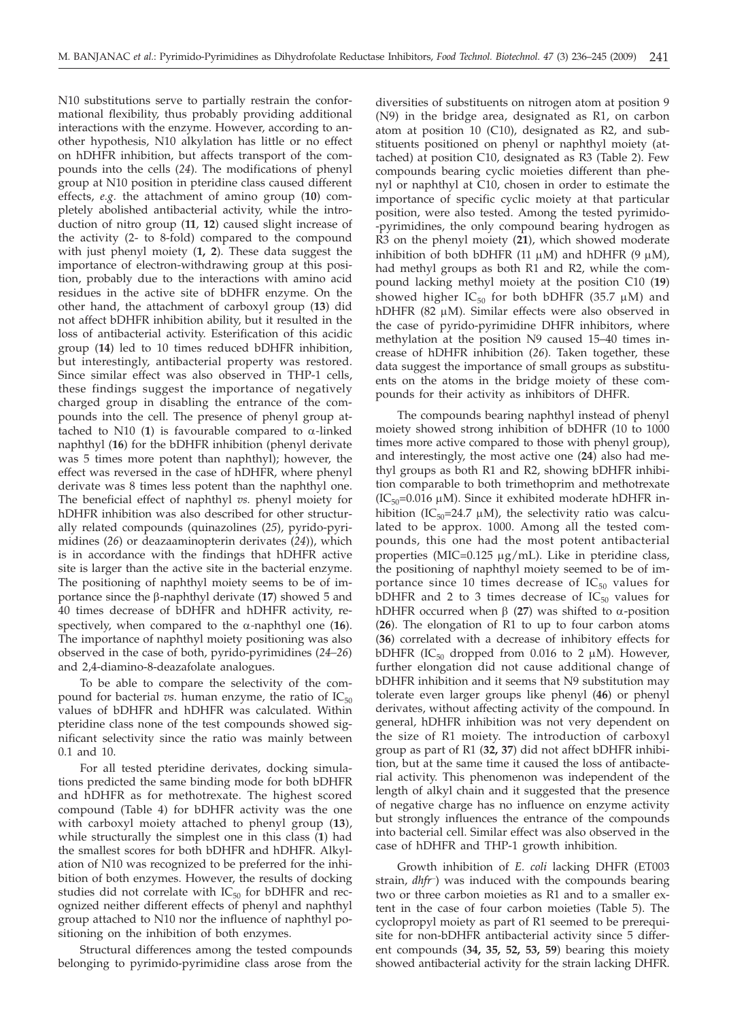N10 substitutions serve to partially restrain the conformational flexibility, thus probably providing additional interactions with the enzyme. However, according to another hypothesis, N10 alkylation has little or no effect on hDHFR inhibition, but affects transport of the compounds into the cells (*24*). The modifications of phenyl group at N10 position in pteridine class caused different effects, *e.g.* the attachment of amino group (**10**) completely abolished antibacterial activity, while the introduction of nitro group (**11**, **12**) caused slight increase of the activity (2- to 8-fold) compared to the compound with just phenyl moiety (**1, 2**). These data suggest the importance of electron-withdrawing group at this position, probably due to the interactions with amino acid residues in the active site of bDHFR enzyme. On the other hand, the attachment of carboxyl group (**13**) did not affect bDHFR inhibition ability, but it resulted in the loss of antibacterial activity. Esterification of this acidic group (**14**) led to 10 times reduced bDHFR inhibition, but interestingly, antibacterial property was restored. Since similar effect was also observed in THP-1 cells, these findings suggest the importance of negatively charged group in disabling the entrance of the compounds into the cell. The presence of phenyl group attached to N10  $(1)$  is favourable compared to  $\alpha$ -linked naphthyl (**16**) for the bDHFR inhibition (phenyl derivate was 5 times more potent than naphthyl); however, the effect was reversed in the case of hDHFR, where phenyl derivate was 8 times less potent than the naphthyl one. The beneficial effect of naphthyl *vs.* phenyl moiety for hDHFR inhibition was also described for other structurally related compounds (quinazolines (*25*), pyrido-pyrimidines (*26*) or deazaaminopterin derivates (*24*)), which is in accordance with the findings that hDHFR active site is larger than the active site in the bacterial enzyme. The positioning of naphthyl moiety seems to be of importance since the b-naphthyl derivate (**17**) showed 5 and 40 times decrease of bDHFR and hDHFR activity, respectively, when compared to the a*-*naphthyl one (**16**). The importance of naphthyl moiety positioning was also observed in the case of both, pyrido-pyrimidines (*24–26*) and 2,4-diamino-8-deazafolate analogues.

To be able to compare the selectivity of the compound for bacterial *vs*. human enzyme, the ratio of  $IC_{50}$ values of bDHFR and hDHFR was calculated. Within pteridine class none of the test compounds showed significant selectivity since the ratio was mainly between 0.1 and 10.

For all tested pteridine derivates, docking simulations predicted the same binding mode for both bDHFR and hDHFR as for methotrexate. The highest scored compound (Table 4) for bDHFR activity was the one with carboxyl moiety attached to phenyl group (**13**), while structurally the simplest one in this class (**1**) had the smallest scores for both bDHFR and hDHFR. Alkylation of N10 was recognized to be preferred for the inhibition of both enzymes. However, the results of docking studies did not correlate with  $IC_{50}$  for bDHFR and recognized neither different effects of phenyl and naphthyl group attached to N10 nor the influence of naphthyl positioning on the inhibition of both enzymes.

Structural differences among the tested compounds belonging to pyrimido-pyrimidine class arose from the

diversities of substituents on nitrogen atom at position 9 (N9) in the bridge area, designated as R1, on carbon atom at position 10 (C10), designated as R2, and substituents positioned on phenyl or naphthyl moiety (attached) at position C10, designated as R3 (Table 2). Few compounds bearing cyclic moieties different than phenyl or naphthyl at C10, chosen in order to estimate the importance of specific cyclic moiety at that particular position, were also tested. Among the tested pyrimido- -pyrimidines, the only compound bearing hydrogen as R3 on the phenyl moiety (**21**), which showed moderate inhibition of both bDHFR (11  $\mu$ M) and hDHFR (9  $\mu$ M), had methyl groups as both R1 and R2, while the compound lacking methyl moiety at the position C10 (**19**) showed higher  $IC_{50}$  for both bDHFR (35.7  $\mu$ M) and hDHFR (82  $\mu$ M). Similar effects were also observed in the case of pyrido-pyrimidine DHFR inhibitors, where methylation at the position N9 caused 15–40 times increase of hDHFR inhibition (*26*). Taken together, these data suggest the importance of small groups as substituents on the atoms in the bridge moiety of these compounds for their activity as inhibitors of DHFR.

The compounds bearing naphthyl instead of phenyl moiety showed strong inhibition of bDHFR (10 to 1000 times more active compared to those with phenyl group), and interestingly, the most active one (**24**) also had methyl groups as both R1 and R2, showing bDHFR inhibition comparable to both trimethoprim and methotrexate  $(IC_{50}=0.016 \mu M)$ . Since it exhibited moderate hDHFR inhibition (IC $_{50}$ =24.7 µM), the selectivity ratio was calculated to be approx. 1000. Among all the tested compounds, this one had the most potent antibacterial properties (MIC= $0.125 \mu g/mL$ ). Like in pteridine class, the positioning of naphthyl moiety seemed to be of importance since 10 times decrease of  $IC_{50}$  values for bDHFR and 2 to 3 times decrease of  $IC_{50}$  values for hDHFR occurred when  $\beta$  (27) was shifted to  $\alpha$ -position (**26**). The elongation of R1 to up to four carbon atoms (**36**) correlated with a decrease of inhibitory effects for bDHFR (IC<sub>50</sub> dropped from 0.016 to 2  $\mu$ M). However, further elongation did not cause additional change of bDHFR inhibition and it seems that N9 substitution may tolerate even larger groups like phenyl (**46**) or phenyl derivates, without affecting activity of the compound. In general, hDHFR inhibition was not very dependent on the size of R1 moiety. The introduction of carboxyl group as part of R1 (**32, 37**) did not affect bDHFR inhibition, but at the same time it caused the loss of antibacterial activity. This phenomenon was independent of the length of alkyl chain and it suggested that the presence of negative charge has no influence on enzyme activity but strongly influences the entrance of the compounds into bacterial cell. Similar effect was also observed in the case of hDHFR and THP-1 growth inhibition.

Growth inhibition of *E. coli* lacking DHFR (ET003 strain, *dhfr–*) was induced with the compounds bearing two or three carbon moieties as R1 and to a smaller extent in the case of four carbon moieties (Table 5). The cyclopropyl moiety as part of R1 seemed to be prerequisite for non-bDHFR antibacterial activity since 5 different compounds (**34, 35, 52, 53, 59**) bearing this moiety showed antibacterial activity for the strain lacking DHFR.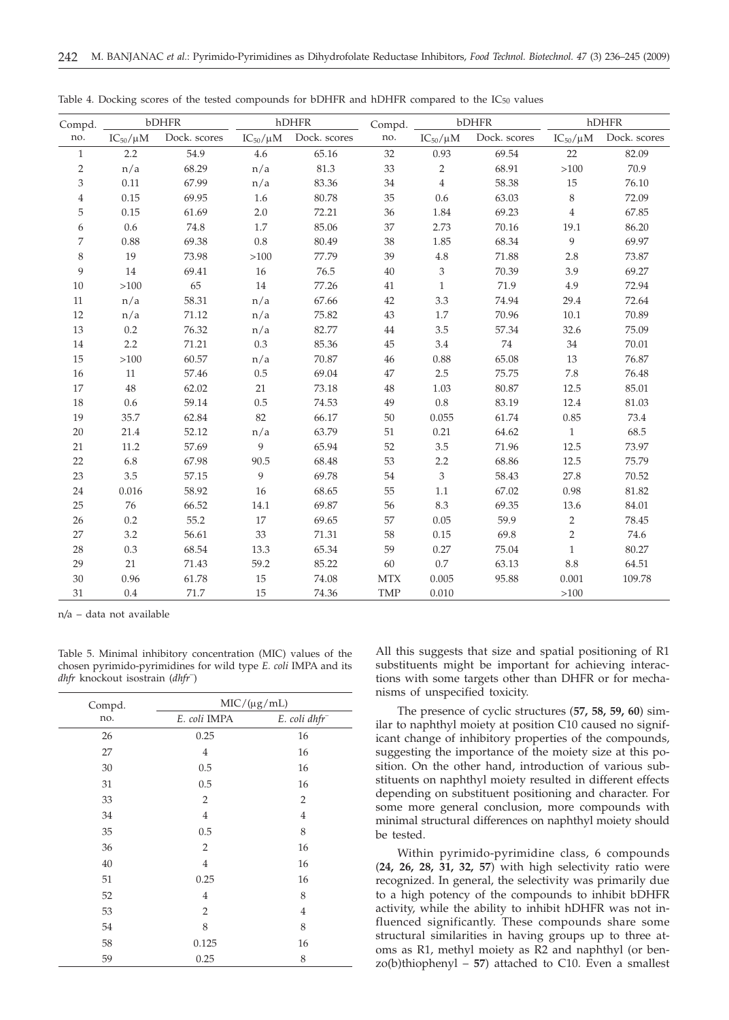| Compd.         |                 | bDHFR        | hDHFR            |                              | Compd.     | bDHFR           |              | hDHFR           |              |
|----------------|-----------------|--------------|------------------|------------------------------|------------|-----------------|--------------|-----------------|--------------|
| no.            | $IC_{50}/\mu M$ | Dock. scores |                  | $IC_{50}/\mu M$ Dock. scores | no.        | $IC_{50}/\mu M$ | Dock. scores | $IC_{50}/\mu M$ | Dock. scores |
| $\mathbf{1}$   | 2.2             | 54.9         | 4.6              | 65.16                        | 32         | 0.93            | 69.54        | 22              | 82.09        |
| 2              | n/a             | 68.29        | n/a              | 81.3                         | 33         | $\overline{2}$  | 68.91        | >100            | 70.9         |
| 3              | 0.11            | 67.99        | n/a              | 83.36                        | 34         | $\overline{4}$  | 58.38        | 15              | 76.10        |
| $\overline{4}$ | 0.15            | 69.95        | 1.6              | 80.78                        | 35         | 0.6             | 63.03        | 8               | 72.09        |
| 5              | 0.15            | 61.69        | 2.0              | 72.21                        | 36         | 1.84            | 69.23        | $\overline{4}$  | 67.85        |
| 6              | 0.6             | 74.8         | 1.7              | 85.06                        | 37         | 2.73            | 70.16        | 19.1            | 86.20        |
| 7              | 0.88            | 69.38        | $0.8\,$          | 80.49                        | 38         | 1.85            | 68.34        | 9               | 69.97        |
| 8              | 19              | 73.98        | >100             | 77.79                        | 39         | $4.8\,$         | 71.88        | 2.8             | 73.87        |
| 9              | 14              | 69.41        | 16               | 76.5                         | 40         | 3               | 70.39        | 3.9             | 69.27        |
| 10             | >100            | 65           | 14               | 77.26                        | 41         | $\mathbf{1}$    | 71.9         | 4.9             | 72.94        |
| 11             | n/a             | 58.31        | n/a              | 67.66                        | 42         | 3.3             | 74.94        | 29.4            | 72.64        |
| 12             | n/a             | 71.12        | n/a              | 75.82                        | 43         | 1.7             | 70.96        | 10.1            | 70.89        |
| 13             | 0.2             | 76.32        | n/a              | 82.77                        | 44         | 3.5             | 57.34        | 32.6            | 75.09        |
| 14             | 2.2             | 71.21        | 0.3              | 85.36                        | $45\,$     | 3.4             | 74           | 34              | 70.01        |
| 15             | >100            | 60.57        | n/a              | 70.87                        | 46         | 0.88            | 65.08        | 13              | 76.87        |
| 16             | $11\,$          | 57.46        | $0.5\,$          | 69.04                        | $47\,$     | $2.5\,$         | 75.75        | 7.8             | 76.48        |
| 17             | 48              | 62.02        | 21               | 73.18                        | 48         | 1.03            | 80.87        | 12.5            | 85.01        |
| 18             | 0.6             | 59.14        | 0.5              | 74.53                        | 49         | $0.8\,$         | 83.19        | 12.4            | 81.03        |
| 19             | 35.7            | 62.84        | 82               | 66.17                        | 50         | 0.055           | 61.74        | 0.85            | 73.4         |
| 20             | 21.4            | 52.12        | n/a              | 63.79                        | 51         | 0.21            | 64.62        | $\mathbf{1}$    | 68.5         |
| 21             | 11.2            | 57.69        | 9                | 65.94                        | 52         | 3.5             | 71.96        | 12.5            | 73.97        |
| 22             | 6.8             | 67.98        | 90.5             | 68.48                        | 53         | 2.2             | 68.86        | 12.5            | 75.79        |
| 23             | 3.5             | 57.15        | $\boldsymbol{9}$ | 69.78                        | 54         | $\mathfrak{Z}$  | 58.43        | 27.8            | 70.52        |
| 24             | 0.016           | 58.92        | 16               | 68.65                        | 55         | 1.1             | 67.02        | 0.98            | 81.82        |
| 25             | 76              | 66.52        | 14.1             | 69.87                        | 56         | 8.3             | 69.35        | 13.6            | 84.01        |
| 26             | 0.2             | 55.2         | 17               | 69.65                        | 57         | 0.05            | 59.9         | 2               | 78.45        |
| 27             | 3.2             | 56.61        | 33               | 71.31                        | 58         | 0.15            | 69.8         | $\overline{2}$  | 74.6         |
| 28             | 0.3             | 68.54        | 13.3             | 65.34                        | 59         | 0.27            | 75.04        | $\mathbf{1}$    | 80.27        |
| 29             | 21              | 71.43        | 59.2             | 85.22                        | 60         | $0.7\,$         | 63.13        | 8.8             | 64.51        |
| 30             | 0.96            | 61.78        | 15               | 74.08                        | <b>MTX</b> | 0.005           | 95.88        | 0.001           | 109.78       |
| 31             | $0.4\,$         | 71.7         | 15               | 74.36                        | <b>TMP</b> | 0.010           |              | >100            |              |

Table 4. Docking scores of the tested compounds for bDHFR and hDHFR compared to the  $IC_{50}$  values

n*/*a – data not available

| Table 5. Minimal inhibitory concentration (MIC) values of the  |  |
|----------------------------------------------------------------|--|
| chosen pyrimido-pyrimidines for wild type E. coli IMPA and its |  |
| <i>dhfr</i> knockout isostrain ( <i>dhfr</i> <sup>-</sup> )    |  |

| Compd. | $MIC/(\mu g/mL)$ |                           |  |  |  |  |
|--------|------------------|---------------------------|--|--|--|--|
| no.    | E. coli IMPA     | E. coli dhfr <sup>-</sup> |  |  |  |  |
| 26     | 0.25             | 16                        |  |  |  |  |
| 27     | 4                | 16                        |  |  |  |  |
| 30     | 0.5              | 16                        |  |  |  |  |
| 31     | 0.5              | 16                        |  |  |  |  |
| 33     | $\overline{2}$   | $\overline{2}$            |  |  |  |  |
| 34     | $\overline{4}$   | $\overline{4}$            |  |  |  |  |
| 35     | 0.5              | 8                         |  |  |  |  |
| 36     | $\overline{2}$   | 16                        |  |  |  |  |
| 40     | $\overline{4}$   | 16                        |  |  |  |  |
| 51     | 0.25             | 16                        |  |  |  |  |
| 52     | 4                | 8                         |  |  |  |  |
| 53     | $\overline{2}$   | $\overline{4}$            |  |  |  |  |
| 54     | 8                | 8                         |  |  |  |  |
| 58     | 0.125            | 16                        |  |  |  |  |
| 59     | 0.25             | 8                         |  |  |  |  |

All this suggests that size and spatial positioning of R1 substituents might be important for achieving interactions with some targets other than DHFR or for mechanisms of unspecified toxicity.

The presence of cyclic structures (**57, 58, 59, 60**) similar to naphthyl moiety at position C10 caused no significant change of inhibitory properties of the compounds, suggesting the importance of the moiety size at this position. On the other hand, introduction of various substituents on naphthyl moiety resulted in different effects depending on substituent positioning and character. For some more general conclusion, more compounds with minimal structural differences on naphthyl moiety should be tested.

Within pyrimido-pyrimidine class, 6 compounds (**24, 26, 28, 31, 32, 57**) with high selectivity ratio were recognized. In general, the selectivity was primarily due to a high potency of the compounds to inhibit bDHFR activity, while the ability to inhibit hDHFR was not influenced significantly. These compounds share some structural similarities in having groups up to three atoms as R1, methyl moiety as R2 and naphthyl (or ben $zo(b)$ thiophenyl – 57) attached to C10. Even a smallest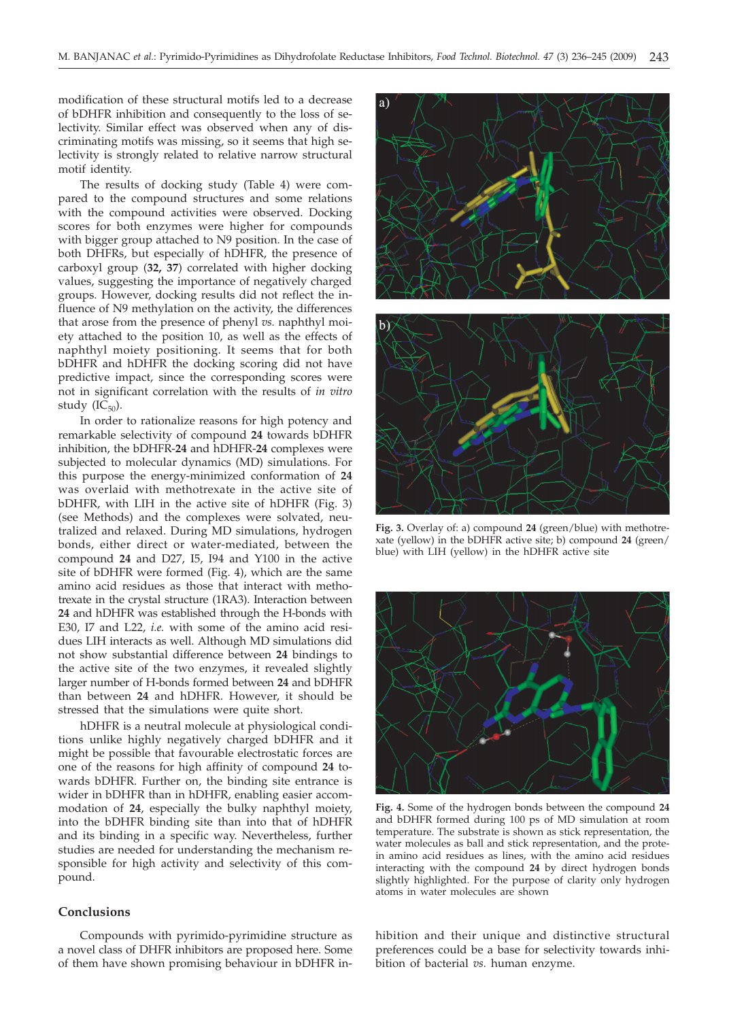modification of these structural motifs led to a decrease of bDHFR inhibition and consequently to the loss of selectivity. Similar effect was observed when any of discriminating motifs was missing, so it seems that high selectivity is strongly related to relative narrow structural motif identity.

The results of docking study (Table 4) were compared to the compound structures and some relations with the compound activities were observed. Docking scores for both enzymes were higher for compounds with bigger group attached to N9 position. In the case of both DHFRs, but especially of hDHFR, the presence of carboxyl group (**32, 37**) correlated with higher docking values, suggesting the importance of negatively charged groups. However, docking results did not reflect the influence of N9 methylation on the activity, the differences that arose from the presence of phenyl *vs.* naphthyl moiety attached to the position 10, as well as the effects of naphthyl moiety positioning. It seems that for both bDHFR and hDHFR the docking scoring did not have predictive impact, since the corresponding scores were not in significant correlation with the results of *in vitro* study  $(IC_{50})$ .

In order to rationalize reasons for high potency and remarkable selectivity of compound **24** towards bDHFR inhibition, the bDHFR-**24** and hDHFR-**24** complexes were subjected to molecular dynamics (MD) simulations. For this purpose the energy-minimized conformation of **24** was overlaid with methotrexate in the active site of bDHFR, with LIH in the active site of hDHFR (Fig. 3) (see Methods) and the complexes were solvated, neutralized and relaxed. During MD simulations, hydrogen bonds, either direct or water-mediated, between the compound **24** and D27, I5, I94 and Y100 in the active site of bDHFR were formed (Fig. 4), which are the same amino acid residues as those that interact with methotrexate in the crystal structure (1RA3). Interaction between **24** and hDHFR was established through the H-bonds with E30, I7 and L22, *i.e.* with some of the amino acid residues LIH interacts as well. Although MD simulations did not show substantial difference between **24** bindings to the active site of the two enzymes, it revealed slightly larger number of H-bonds formed between **24** and bDHFR than between **24** and hDHFR. However, it should be stressed that the simulations were quite short.

hDHFR is a neutral molecule at physiological conditions unlike highly negatively charged bDHFR and it might be possible that favourable electrostatic forces are one of the reasons for high affinity of compound **24** towards bDHFR. Further on, the binding site entrance is wider in bDHFR than in hDHFR, enabling easier accommodation of **24**, especially the bulky naphthyl moiety, into the bDHFR binding site than into that of hDHFR and its binding in a specific way. Nevertheless, further studies are needed for understanding the mechanism responsible for high activity and selectivity of this compound.

# **Conclusions**

Compounds with pyrimido-pyrimidine structure as a novel class of DHFR inhibitors are proposed here. Some of them have shown promising behaviour in bDHFR in-



**Fig. 3.** Overlay of: a) compound **24** (green/blue) with methotrexate (yellow) in the bDHFR active site; b) compound **24** (green/ blue) with LIH (yellow) in the hDHFR active site



**Fig. 4.** Some of the hydrogen bonds between the compound **24** and bDHFR formed during 100 ps of MD simulation at room temperature. The substrate is shown as stick representation, the water molecules as ball and stick representation, and the protein amino acid residues as lines, with the amino acid residues interacting with the compound **24** by direct hydrogen bonds slightly highlighted. For the purpose of clarity only hydrogen atoms in water molecules are shown

hibition and their unique and distinctive structural preferences could be a base for selectivity towards inhibition of bacterial *vs.* human enzyme.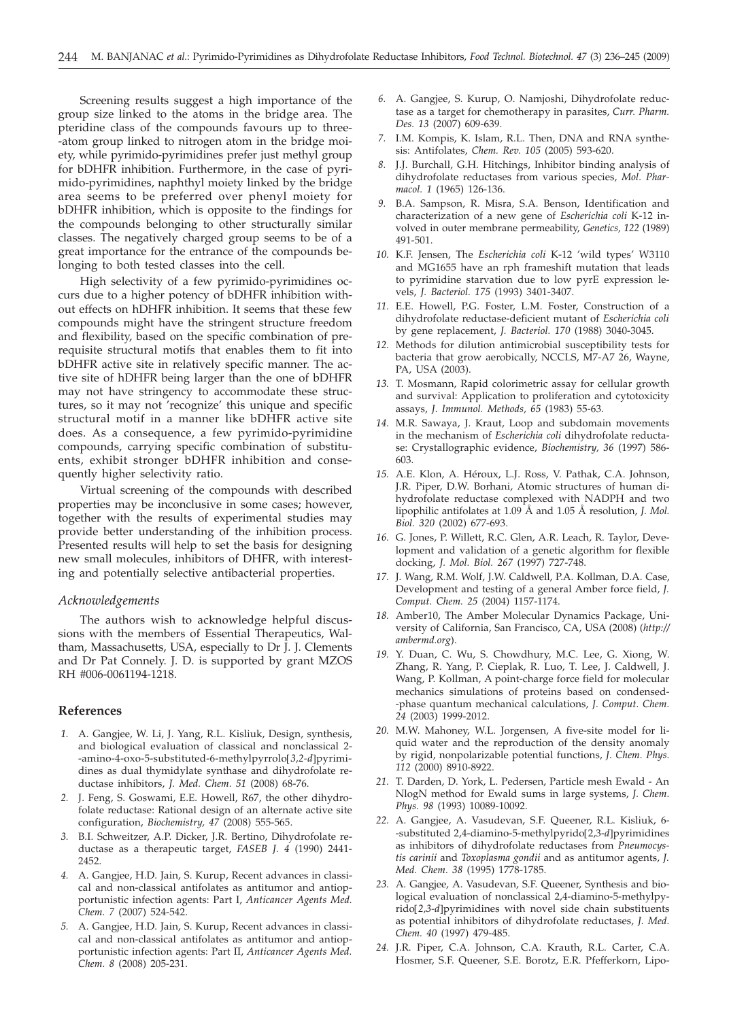Screening results suggest a high importance of the group size linked to the atoms in the bridge area. The pteridine class of the compounds favours up to three- -atom group linked to nitrogen atom in the bridge moiety, while pyrimido-pyrimidines prefer just methyl group for bDHFR inhibition. Furthermore, in the case of pyrimido-pyrimidines, naphthyl moiety linked by the bridge area seems to be preferred over phenyl moiety for bDHFR inhibition, which is opposite to the findings for the compounds belonging to other structurally similar classes. The negatively charged group seems to be of a great importance for the entrance of the compounds belonging to both tested classes into the cell.

High selectivity of a few pyrimido-pyrimidines occurs due to a higher potency of bDHFR inhibition without effects on hDHFR inhibition. It seems that these few compounds might have the stringent structure freedom and flexibility, based on the specific combination of prerequisite structural motifs that enables them to fit into bDHFR active site in relatively specific manner. The active site of hDHFR being larger than the one of bDHFR may not have stringency to accommodate these structures, so it may not 'recognize' this unique and specific structural motif in a manner like bDHFR active site does. As a consequence, a few pyrimido-pyrimidine compounds, carrying specific combination of substituents, exhibit stronger bDHFR inhibition and consequently higher selectivity ratio.

Virtual screening of the compounds with described properties may be inconclusive in some cases; however, together with the results of experimental studies may provide better understanding of the inhibition process. Presented results will help to set the basis for designing new small molecules, inhibitors of DHFR, with interesting and potentially selective antibacterial properties.

#### *Acknowledgements*

The authors wish to acknowledge helpful discussions with the members of Essential Therapeutics, Waltham, Massachusetts, USA, especially to Dr J. J. Clements and Dr Pat Connely. J. D. is supported by grant MZOS RH #006-0061194-1218.

### **References**

- *1.* A. Gangjee, W. Li, J. Yang, R.L. Kisliuk, Design, synthesis, and biological evaluation of classical and nonclassical 2- -amino-4-oxo-5-substituted-6-methylpyrrolo[*3,2-d*]pyrimidines as dual thymidylate synthase and dihydrofolate reductase inhibitors, *J. Med. Chem. 51* (2008) 68-76.
- *2.* J. Feng, S. Goswami, E.E. Howell, R67, the other dihydrofolate reductase: Rational design of an alternate active site configuration, *Biochemistry, 47* (2008) 555-565.
- *3.* B.I. Schweitzer, A.P. Dicker, J.R. Bertino, Dihydrofolate reductase as a therapeutic target, *FASEB J. 4* (1990) 2441- 2452.
- *4.* A. Gangjee, H.D. Jain, S. Kurup, Recent advances in classical and non-classical antifolates as antitumor and antiopportunistic infection agents: Part I, *Anticancer Agents Med. Chem. 7* (2007) 524-542.
- *5.* A. Gangjee, H.D. Jain, S. Kurup, Recent advances in classical and non-classical antifolates as antitumor and antiopportunistic infection agents: Part II, *Anticancer Agents Med. Chem. 8* (2008) 205-231.
- *6.* A. Gangjee, S. Kurup, O. Namjoshi, Dihydrofolate reductase as a target for chemotherapy in parasites, *Curr. Pharm. Des. 13* (2007) 609-639.
- *7.* I.M. Kompis, K. Islam, R.L. Then, DNA and RNA synthesis: Antifolates, *Chem. Rev. 105* (2005) 593-620.
- *8.* J.J. Burchall, G.H. Hitchings, Inhibitor binding analysis of dihydrofolate reductases from various species, *Mol. Pharmacol. 1* (1965) 126-136.
- *9.* B.A. Sampson, R. Misra, S.A. Benson, Identification and characterization of a new gene of *Escherichia coli* K-12 involved in outer membrane permeability, *Genetics, 122* (1989) 491-501.
- *10.* K.F. Jensen, The *Escherichia coli* K-12 'wild types' W3110 and MG1655 have an rph frameshift mutation that leads to pyrimidine starvation due to low pyrE expression levels, *J. Bacteriol. 175* (1993) 3401-3407.
- *11.* E.E. Howell, P.G. Foster, L.M. Foster, Construction of a dihydrofolate reductase-deficient mutant of *Escherichia coli* by gene replacement, *J. Bacteriol. 170* (1988) 3040-3045.
- *12.* Methods for dilution antimicrobial susceptibility tests for bacteria that grow aerobically, NCCLS, M7-A7 26, Wayne, PA, USA (2003).
- *13.* T. Mosmann, Rapid colorimetric assay for cellular growth and survival: Application to proliferation and cytotoxicity assays, *J. Immunol. Methods, 65* (1983) 55-63.
- *14.* M.R. Sawaya, J. Kraut, Loop and subdomain movements in the mechanism of *Escherichia coli* dihydrofolate reductase: Crystallographic evidence, *Biochemistry, 36* (1997) 586- 603.
- *15.* A.E. Klon, A. Héroux, L.J. Ross, V. Pathak, C.A. Johnson, J.R. Piper, D.W. Borhani, Atomic structures of human dihydrofolate reductase complexed with NADPH and two lipophilic antifolates at 1.09 Å and 1.05 Å resolution, *J. Mol. Biol. 320* (2002) 677-693.
- *16.* G. Jones, P. Willett, R.C. Glen, A.R. Leach, R. Taylor, Development and validation of a genetic algorithm for flexible docking, *J. Mol. Biol. 267* (1997) 727-748.
- *17.* J. Wang, R.M. Wolf, J.W. Caldwell, P.A. Kollman, D.A. Case, Development and testing of a general Amber force field, *J. Comput. Chem. 25* (2004) 1157-1174.
- *18.* Amber10, The Amber Molecular Dynamics Package, University of California, San Francisco, CA, USA (2008) (*http:// ambermd.org*).
- *19.* Y. Duan, C. Wu, S. Chowdhury, M.C. Lee, G. Xiong, W. Zhang, R. Yang, P. Cieplak, R. Luo, T. Lee, J. Caldwell, J. Wang, P. Kollman, A point-charge force field for molecular mechanics simulations of proteins based on condensed- -phase quantum mechanical calculations, *J. Comput. Chem. 24* (2003) 1999-2012.
- *20.* M.W. Mahoney, W.L. Jorgensen, A five-site model for liquid water and the reproduction of the density anomaly by rigid, nonpolarizable potential functions, *J. Chem. Phys. 112* (2000) 8910-8922.
- *21.* T. Darden, D. York, L. Pedersen, Particle mesh Ewald An NlogN method for Ewald sums in large systems, *J. Chem. Phys. 98* (1993) 10089-10092.
- *22.* A. Gangjee, A. Vasudevan, S.F. Queener, R.L. Kisliuk, 6- -substituted 2,4-diamino-5-methylpyrido[2,3-*d*]pyrimidines as inhibitors of dihydrofolate reductases from *Pneumocystis carinii* and *Toxoplasma gondii* and as antitumor agents, *J. Med. Chem. 38* (1995) 1778-1785.
- *23.* A. Gangjee, A. Vasudevan, S.F. Queener, Synthesis and biological evaluation of nonclassical 2,4-diamino-5-methylpyrido[*2,3-d*]pyrimidines with novel side chain substituents as potential inhibitors of dihydrofolate reductases, *J. Med. Chem. 40* (1997) 479-485.
- *24.* J.R. Piper, C.A. Johnson, C.A. Krauth, R.L. Carter, C.A. Hosmer, S.F. Queener, S.E. Borotz, E.R. Pfefferkorn, Lipo-